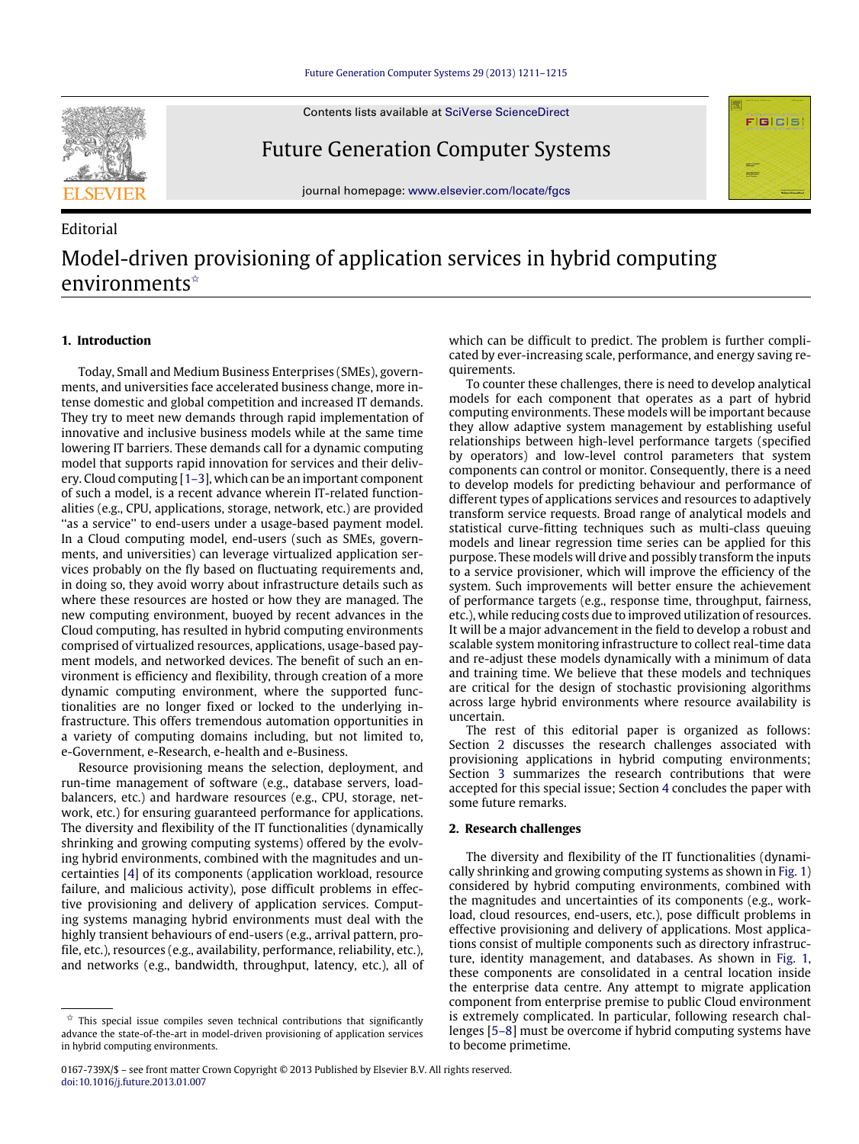Contents lists available at [SciVerse ScienceDirect](http://www.elsevier.com/locate/fgcs)

Future Generation Computer Systems

journal homepage: [www.elsevier.com/locate/fgcs](http://www.elsevier.com/locate/fgcs)

# Editorial Model-driven provisioning of application services in hybrid computing environments<sup>☆</sup>

# **1. Introduction**

Today, Small and Medium Business Enterprises (SMEs), governments, and universities face accelerated business change, more intense domestic and global competition and increased IT demands. They try to meet new demands through rapid implementation of innovative and inclusive business models while at the same time lowering IT barriers. These demands call for a dynamic computing model that supports rapid innovation for services and their delivery. Cloud computing [\[1–3\]](#page-3-0), which can be an important component of such a model, is a recent advance wherein IT-related functionalities (e.g., CPU, applications, storage, network, etc.) are provided ''as a service'' to end-users under a usage-based payment model. In a Cloud computing model, end-users (such as SMEs, governments, and universities) can leverage virtualized application services probably on the fly based on fluctuating requirements and, in doing so, they avoid worry about infrastructure details such as where these resources are hosted or how they are managed. The new computing environment, buoyed by recent advances in the Cloud computing, has resulted in hybrid computing environments comprised of virtualized resources, applications, usage-based payment models, and networked devices. The benefit of such an environment is efficiency and flexibility, through creation of a more dynamic computing environment, where the supported functionalities are no longer fixed or locked to the underlying infrastructure. This offers tremendous automation opportunities in a variety of computing domains including, but not limited to, e-Government, e-Research, e-health and e-Business.

Resource provisioning means the selection, deployment, and run-time management of software (e.g., database servers, loadbalancers, etc.) and hardware resources (e.g., CPU, storage, network, etc.) for ensuring guaranteed performance for applications. The diversity and flexibility of the IT functionalities (dynamically shrinking and growing computing systems) offered by the evolving hybrid environments, combined with the magnitudes and uncertainties [\[4\]](#page-3-1) of its components (application workload, resource failure, and malicious activity), pose difficult problems in effective provisioning and delivery of application services. Computing systems managing hybrid environments must deal with the highly transient behaviours of end-users (e.g., arrival pattern, profile, etc.), resources (e.g., availability, performance, reliability, etc.), and networks (e.g., bandwidth, throughput, latency, etc.), all of which can be difficult to predict. The problem is further complicated by ever-increasing scale, performance, and energy saving requirements.

**F**IGICIS

To counter these challenges, there is need to develop analytical models for each component that operates as a part of hybrid computing environments. These models will be important because they allow adaptive system management by establishing useful relationships between high-level performance targets (specified by operators) and low-level control parameters that system components can control or monitor. Consequently, there is a need to develop models for predicting behaviour and performance of different types of applications services and resources to adaptively transform service requests. Broad range of analytical models and statistical curve-fitting techniques such as multi-class queuing models and linear regression time series can be applied for this purpose. These models will drive and possibly transform the inputs to a service provisioner, which will improve the efficiency of the system. Such improvements will better ensure the achievement of performance targets (e.g., response time, throughput, fairness, etc.), while reducing costs due to improved utilization of resources. It will be a major advancement in the field to develop a robust and scalable system monitoring infrastructure to collect real-time data and re-adjust these models dynamically with a minimum of data and training time. We believe that these models and techniques are critical for the design of stochastic provisioning algorithms across large hybrid environments where resource availability is uncertain.

The rest of this editorial paper is organized as follows: Section [2](#page-0-1) discusses the research challenges associated with provisioning applications in hybrid computing environments; Section [3](#page-2-0) summarizes the research contributions that were accepted for this special issue; Section [4](#page-3-2) concludes the paper with some future remarks.

## <span id="page-0-1"></span>**2. Research challenges**

The diversity and flexibility of the IT functionalities (dynamically shrinking and growing computing systems as shown in [Fig. 1\)](#page-1-0) considered by hybrid computing environments, combined with the magnitudes and uncertainties of its components (e.g., workload, cloud resources, end-users, etc.), pose difficult problems in effective provisioning and delivery of applications. Most applications consist of multiple components such as directory infrastructure, identity management, and databases. As shown in [Fig. 1,](#page-1-0) these components are consolidated in a central location inside the enterprise data centre. Any attempt to migrate application component from enterprise premise to public Cloud environment is extremely complicated. In particular, following research challenges [\[5–8\]](#page-3-3) must be overcome if hybrid computing systems have to become primetime.

<span id="page-0-0"></span> $\overrightarrow{x}$  This special issue compiles seven technical contributions that significantly advance the state-of-the-art in model-driven provisioning of application services in hybrid computing environments.

<sup>0167-739</sup>X/\$ – see front matter Crown Copyright © 2013 Published by Elsevier B.V. All rights reserved. [doi:10.1016/j.future.2013.01.007](http://dx.doi.org/10.1016/j.future.2013.01.007)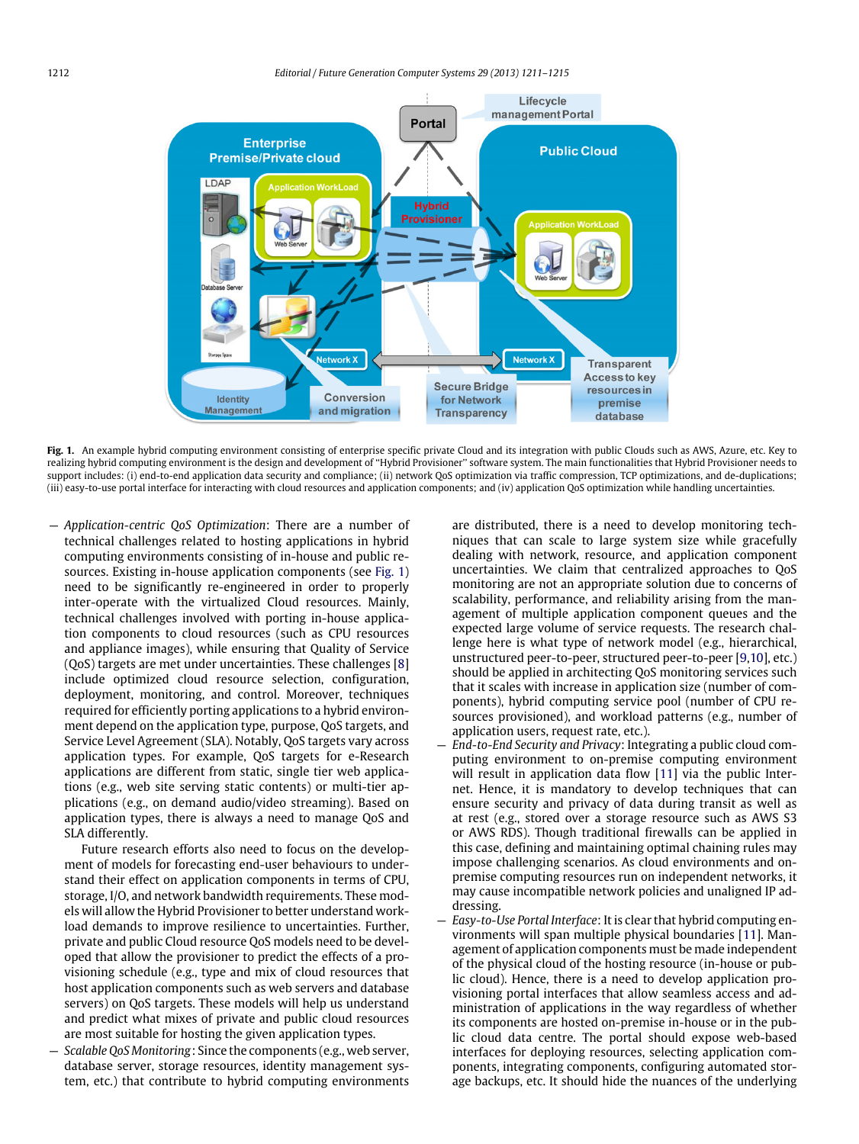<span id="page-1-0"></span>

Fig. 1. An example hybrid computing environment consisting of enterprise specific private Cloud and its integration with public Clouds such as AWS, Azure, etc. Key to realizing hybrid computing environment is the design and development of ''Hybrid Provisioner'' software system. The main functionalities that Hybrid Provisioner needs to support includes: (i) end-to-end application data security and compliance; (ii) network QoS optimization via traffic compression, TCP optimizations, and de-duplications; (iii) easy-to-use portal interface for interacting with cloud resources and application components; and (iv) application QoS optimization while handling uncertainties.

— *Application-centric QoS Optimization*: There are a number of technical challenges related to hosting applications in hybrid computing environments consisting of in-house and public resources. Existing in-house application components (see [Fig. 1\)](#page-1-0) need to be significantly re-engineered in order to properly inter-operate with the virtualized Cloud resources. Mainly, technical challenges involved with porting in-house application components to cloud resources (such as CPU resources and appliance images), while ensuring that Quality of Service (QoS) targets are met under uncertainties. These challenges [\[8\]](#page-3-4) include optimized cloud resource selection, configuration, deployment, monitoring, and control. Moreover, techniques required for efficiently porting applications to a hybrid environment depend on the application type, purpose, QoS targets, and Service Level Agreement (SLA). Notably, QoS targets vary across application types. For example, QoS targets for e-Research applications are different from static, single tier web applications (e.g., web site serving static contents) or multi-tier applications (e.g., on demand audio/video streaming). Based on application types, there is always a need to manage QoS and SLA differently.

Future research efforts also need to focus on the development of models for forecasting end-user behaviours to understand their effect on application components in terms of CPU, storage, I/O, and network bandwidth requirements. These models will allow the Hybrid Provisioner to better understand workload demands to improve resilience to uncertainties. Further, private and public Cloud resource QoS models need to be developed that allow the provisioner to predict the effects of a provisioning schedule (e.g., type and mix of cloud resources that host application components such as web servers and database servers) on QoS targets. These models will help us understand and predict what mixes of private and public cloud resources are most suitable for hosting the given application types.

— *Scalable QoS Monitoring*: Since the components (e.g., web server, database server, storage resources, identity management system, etc.) that contribute to hybrid computing environments are distributed, there is a need to develop monitoring techniques that can scale to large system size while gracefully dealing with network, resource, and application component uncertainties. We claim that centralized approaches to QoS monitoring are not an appropriate solution due to concerns of scalability, performance, and reliability arising from the management of multiple application component queues and the expected large volume of service requests. The research challenge here is what type of network model (e.g., hierarchical, unstructured peer-to-peer, structured peer-to-peer [\[9,](#page-3-5)[10\]](#page-3-6), etc.) should be applied in architecting QoS monitoring services such that it scales with increase in application size (number of components), hybrid computing service pool (number of CPU resources provisioned), and workload patterns (e.g., number of application users, request rate, etc.).

- *End-to-End Security and Privacy*: Integrating a public cloud computing environment to on-premise computing environment will result in application data flow [\[11\]](#page-3-7) via the public Internet. Hence, it is mandatory to develop techniques that can ensure security and privacy of data during transit as well as at rest (e.g., stored over a storage resource such as AWS S3 or AWS RDS). Though traditional firewalls can be applied in this case, defining and maintaining optimal chaining rules may impose challenging scenarios. As cloud environments and onpremise computing resources run on independent networks, it may cause incompatible network policies and unaligned IP addressing.
- *Easy-to-Use Portal Interface*: It is clear that hybrid computing environments will span multiple physical boundaries [\[11\]](#page-3-7). Management of application components must be made independent of the physical cloud of the hosting resource (in-house or public cloud). Hence, there is a need to develop application provisioning portal interfaces that allow seamless access and administration of applications in the way regardless of whether its components are hosted on-premise in-house or in the public cloud data centre. The portal should expose web-based interfaces for deploying resources, selecting application components, integrating components, configuring automated storage backups, etc. It should hide the nuances of the underlying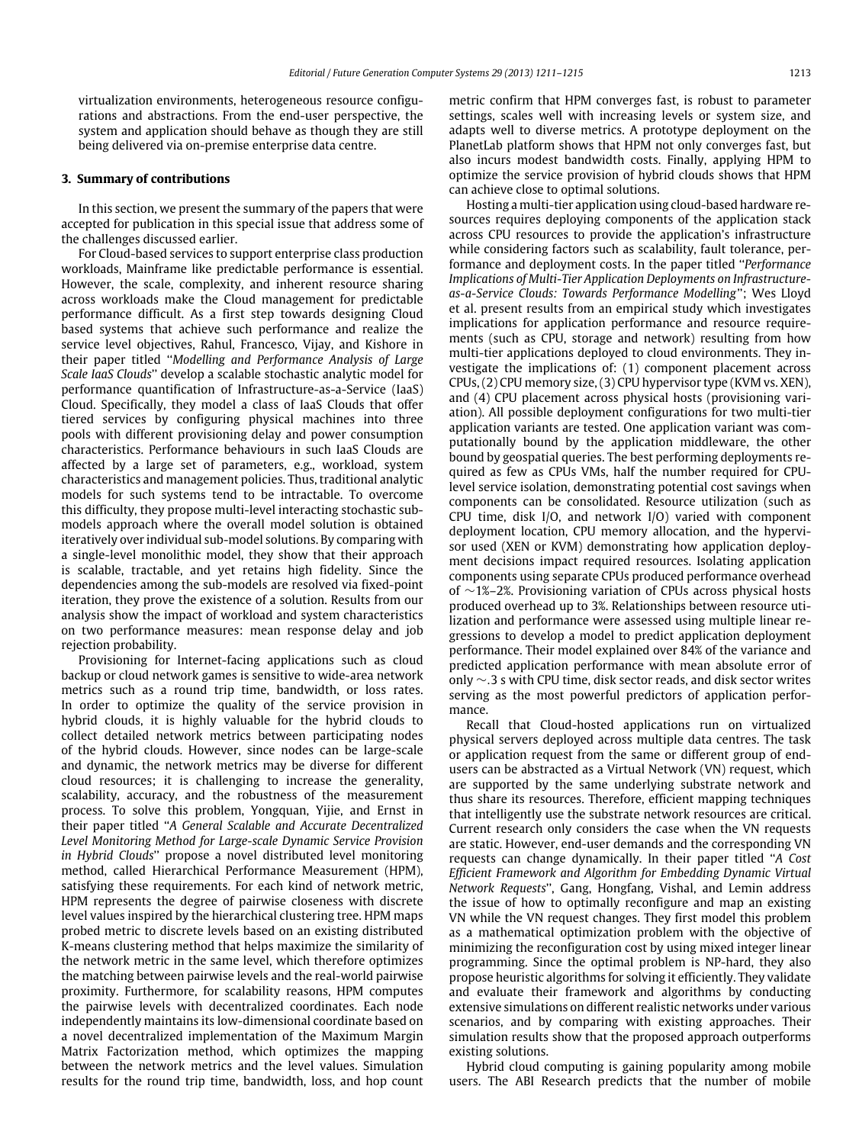virtualization environments, heterogeneous resource configurations and abstractions. From the end-user perspective, the system and application should behave as though they are still being delivered via on-premise enterprise data centre.

### <span id="page-2-0"></span>**3. Summary of contributions**

In this section, we present the summary of the papers that were accepted for publication in this special issue that address some of the challenges discussed earlier.

For Cloud-based services to support enterprise class production workloads, Mainframe like predictable performance is essential. However, the scale, complexity, and inherent resource sharing across workloads make the Cloud management for predictable performance difficult. As a first step towards designing Cloud based systems that achieve such performance and realize the service level objectives, Rahul, Francesco, Vijay, and Kishore in their paper titled ''*Modelling and Performance Analysis of Large Scale IaaS Clouds*'' develop a scalable stochastic analytic model for performance quantification of Infrastructure-as-a-Service (IaaS) Cloud. Specifically, they model a class of IaaS Clouds that offer tiered services by configuring physical machines into three pools with different provisioning delay and power consumption characteristics. Performance behaviours in such IaaS Clouds are affected by a large set of parameters, e.g., workload, system characteristics and management policies. Thus, traditional analytic models for such systems tend to be intractable. To overcome this difficulty, they propose multi-level interacting stochastic submodels approach where the overall model solution is obtained iteratively over individual sub-model solutions. By comparing with a single-level monolithic model, they show that their approach is scalable, tractable, and yet retains high fidelity. Since the dependencies among the sub-models are resolved via fixed-point iteration, they prove the existence of a solution. Results from our analysis show the impact of workload and system characteristics on two performance measures: mean response delay and job rejection probability.

Provisioning for Internet-facing applications such as cloud backup or cloud network games is sensitive to wide-area network metrics such as a round trip time, bandwidth, or loss rates. In order to optimize the quality of the service provision in hybrid clouds, it is highly valuable for the hybrid clouds to collect detailed network metrics between participating nodes of the hybrid clouds. However, since nodes can be large-scale and dynamic, the network metrics may be diverse for different cloud resources; it is challenging to increase the generality, scalability, accuracy, and the robustness of the measurement process. To solve this problem, Yongquan, Yijie, and Ernst in their paper titled ''*A General Scalable and Accurate Decentralized Level Monitoring Method for Large-scale Dynamic Service Provision in Hybrid Clouds*'' propose a novel distributed level monitoring method, called Hierarchical Performance Measurement (HPM), satisfying these requirements. For each kind of network metric, HPM represents the degree of pairwise closeness with discrete level values inspired by the hierarchical clustering tree. HPM maps probed metric to discrete levels based on an existing distributed K-means clustering method that helps maximize the similarity of the network metric in the same level, which therefore optimizes the matching between pairwise levels and the real-world pairwise proximity. Furthermore, for scalability reasons, HPM computes the pairwise levels with decentralized coordinates. Each node independently maintains its low-dimensional coordinate based on a novel decentralized implementation of the Maximum Margin Matrix Factorization method, which optimizes the mapping between the network metrics and the level values. Simulation results for the round trip time, bandwidth, loss, and hop count metric confirm that HPM converges fast, is robust to parameter settings, scales well with increasing levels or system size, and adapts well to diverse metrics. A prototype deployment on the PlanetLab platform shows that HPM not only converges fast, but also incurs modest bandwidth costs. Finally, applying HPM to optimize the service provision of hybrid clouds shows that HPM can achieve close to optimal solutions.

Hosting a multi-tier application using cloud-based hardware resources requires deploying components of the application stack across CPU resources to provide the application's infrastructure while considering factors such as scalability, fault tolerance, performance and deployment costs. In the paper titled ''*Performance Implications of Multi-Tier Application Deployments on Infrastructureas-a-Service Clouds: Towards Performance Modelling*''; Wes Lloyd et al. present results from an empirical study which investigates implications for application performance and resource requirements (such as CPU, storage and network) resulting from how multi-tier applications deployed to cloud environments. They investigate the implications of: (1) component placement across CPUs, (2) CPU memory size, (3) CPU hypervisor type (KVM vs. XEN), and (4) CPU placement across physical hosts (provisioning variation). All possible deployment configurations for two multi-tier application variants are tested. One application variant was computationally bound by the application middleware, the other bound by geospatial queries. The best performing deployments required as few as CPUs VMs, half the number required for CPUlevel service isolation, demonstrating potential cost savings when components can be consolidated. Resource utilization (such as CPU time, disk I/O, and network I/O) varied with component deployment location, CPU memory allocation, and the hypervisor used (XEN or KVM) demonstrating how application deployment decisions impact required resources. Isolating application components using separate CPUs produced performance overhead of ∼1%–2%. Provisioning variation of CPUs across physical hosts produced overhead up to 3%. Relationships between resource utilization and performance were assessed using multiple linear regressions to develop a model to predict application deployment performance. Their model explained over 84% of the variance and predicted application performance with mean absolute error of only ∼.3 s with CPU time, disk sector reads, and disk sector writes serving as the most powerful predictors of application performance.

Recall that Cloud-hosted applications run on virtualized physical servers deployed across multiple data centres. The task or application request from the same or different group of endusers can be abstracted as a Virtual Network (VN) request, which are supported by the same underlying substrate network and thus share its resources. Therefore, efficient mapping techniques that intelligently use the substrate network resources are critical. Current research only considers the case when the VN requests are static. However, end-user demands and the corresponding VN requests can change dynamically. In their paper titled ''*A Cost Efficient Framework and Algorithm for Embedding Dynamic Virtual Network Requests*'', Gang, Hongfang, Vishal, and Lemin address the issue of how to optimally reconfigure and map an existing VN while the VN request changes. They first model this problem as a mathematical optimization problem with the objective of minimizing the reconfiguration cost by using mixed integer linear programming. Since the optimal problem is NP-hard, they also propose heuristic algorithms for solving it efficiently. They validate and evaluate their framework and algorithms by conducting extensive simulations on different realistic networks under various scenarios, and by comparing with existing approaches. Their simulation results show that the proposed approach outperforms existing solutions.

Hybrid cloud computing is gaining popularity among mobile users. The ABI Research predicts that the number of mobile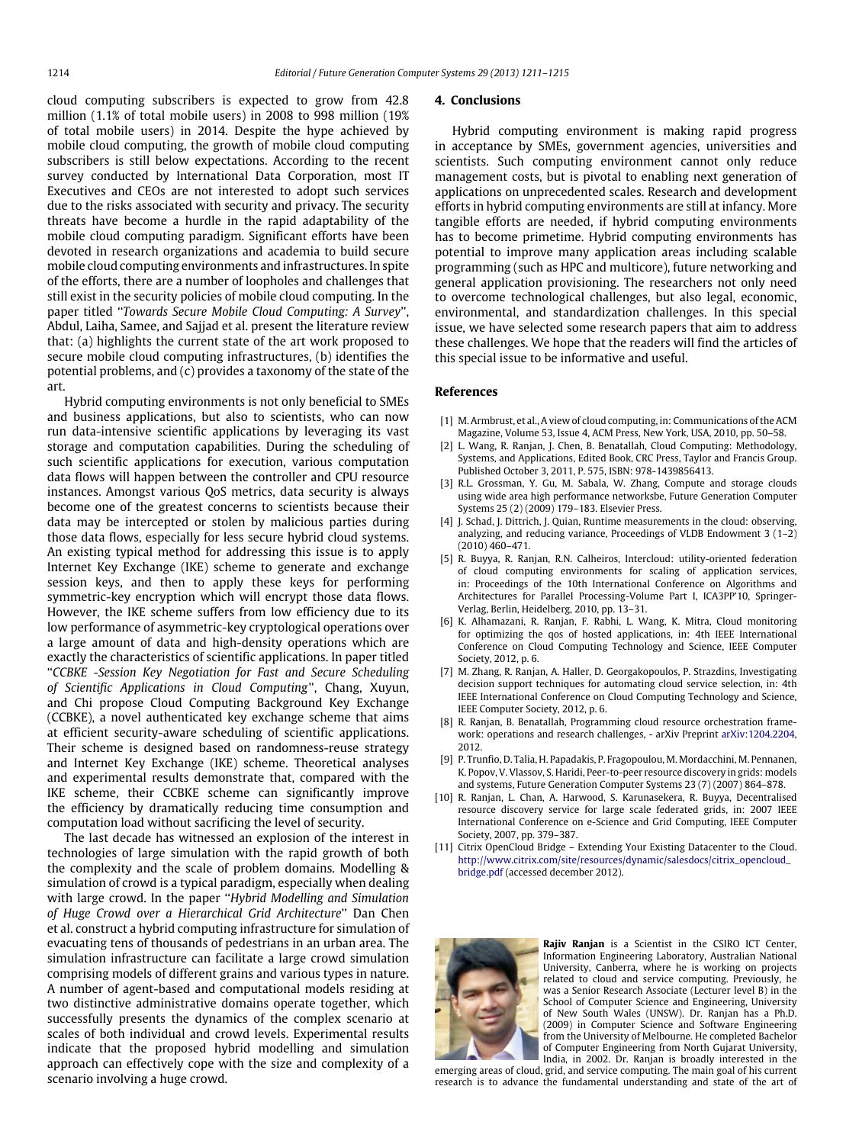cloud computing subscribers is expected to grow from 42.8 million (1.1% of total mobile users) in 2008 to 998 million (19% of total mobile users) in 2014. Despite the hype achieved by mobile cloud computing, the growth of mobile cloud computing subscribers is still below expectations. According to the recent survey conducted by International Data Corporation, most IT Executives and CEOs are not interested to adopt such services due to the risks associated with security and privacy. The security threats have become a hurdle in the rapid adaptability of the mobile cloud computing paradigm. Significant efforts have been devoted in research organizations and academia to build secure mobile cloud computing environments and infrastructures. In spite of the efforts, there are a number of loopholes and challenges that still exist in the security policies of mobile cloud computing. In the paper titled ''*Towards Secure Mobile Cloud Computing: A Survey*'', Abdul, Laiha, Samee, and Sajjad et al. present the literature review that: (a) highlights the current state of the art work proposed to secure mobile cloud computing infrastructures, (b) identifies the potential problems, and (c) provides a taxonomy of the state of the art.

Hybrid computing environments is not only beneficial to SMEs and business applications, but also to scientists, who can now run data-intensive scientific applications by leveraging its vast storage and computation capabilities. During the scheduling of such scientific applications for execution, various computation data flows will happen between the controller and CPU resource instances. Amongst various QoS metrics, data security is always become one of the greatest concerns to scientists because their data may be intercepted or stolen by malicious parties during those data flows, especially for less secure hybrid cloud systems. An existing typical method for addressing this issue is to apply Internet Key Exchange (IKE) scheme to generate and exchange session keys, and then to apply these keys for performing symmetric-key encryption which will encrypt those data flows. However, the IKE scheme suffers from low efficiency due to its low performance of asymmetric-key cryptological operations over a large amount of data and high-density operations which are exactly the characteristics of scientific applications. In paper titled ''*CCBKE -Session Key Negotiation for Fast and Secure Scheduling of Scientific Applications in Cloud Computing*'', Chang, Xuyun, and Chi propose Cloud Computing Background Key Exchange (CCBKE), a novel authenticated key exchange scheme that aims at efficient security-aware scheduling of scientific applications. Their scheme is designed based on randomness-reuse strategy and Internet Key Exchange (IKE) scheme. Theoretical analyses and experimental results demonstrate that, compared with the IKE scheme, their CCBKE scheme can significantly improve the efficiency by dramatically reducing time consumption and computation load without sacrificing the level of security.

The last decade has witnessed an explosion of the interest in technologies of large simulation with the rapid growth of both the complexity and the scale of problem domains. Modelling & simulation of crowd is a typical paradigm, especially when dealing with large crowd. In the paper ''*Hybrid Modelling and Simulation of Huge Crowd over a Hierarchical Grid Architecture*'' Dan Chen et al. construct a hybrid computing infrastructure for simulation of evacuating tens of thousands of pedestrians in an urban area. The simulation infrastructure can facilitate a large crowd simulation comprising models of different grains and various types in nature. A number of agent-based and computational models residing at two distinctive administrative domains operate together, which successfully presents the dynamics of the complex scenario at scales of both individual and crowd levels. Experimental results indicate that the proposed hybrid modelling and simulation approach can effectively cope with the size and complexity of a scenario involving a huge crowd.

#### <span id="page-3-2"></span>**4. Conclusions**

Hybrid computing environment is making rapid progress in acceptance by SMEs, government agencies, universities and scientists. Such computing environment cannot only reduce management costs, but is pivotal to enabling next generation of applications on unprecedented scales. Research and development efforts in hybrid computing environments are still at infancy. More tangible efforts are needed, if hybrid computing environments has to become primetime. Hybrid computing environments has potential to improve many application areas including scalable programming (such as HPC and multicore), future networking and general application provisioning. The researchers not only need to overcome technological challenges, but also legal, economic, environmental, and standardization challenges. In this special issue, we have selected some research papers that aim to address these challenges. We hope that the readers will find the articles of this special issue to be informative and useful.

#### **References**

- <span id="page-3-0"></span>[1] M. Armbrust, et al., A view of cloud computing, in: Communications of the ACM Magazine, Volume 53, Issue 4, ACM Press, New York, USA, 2010, pp. 50–58.
- [2] L. Wang, R. Ranjan, J. Chen, B. Benatallah, Cloud Computing: Methodology, Systems, and Applications, Edited Book, CRC Press, Taylor and Francis Group. Published October 3, 2011, P. 575, ISBN: 978-1439856413.
- [3] R.L. Grossman, Y. Gu, M. Sabala, W. Zhang, Compute and storage clouds using wide area high performance networksbe, Future Generation Computer Systems 25 (2) (2009) 179–183. Elsevier Press.
- <span id="page-3-1"></span>[4] J. Schad, J. Dittrich, J. Quian, Runtime measurements in the cloud: observing, analyzing, and reducing variance, Proceedings of VLDB Endowment 3 (1–2) (2010) 460–471.
- <span id="page-3-3"></span>[5] R. Buyya, R. Ranjan, R.N. Calheiros, Intercloud: utility-oriented federation of cloud computing environments for scaling of application services, in: Proceedings of the 10th International Conference on Algorithms and Architectures for Parallel Processing-Volume Part I, ICA3PP'10, Springer-Verlag, Berlin, Heidelberg, 2010, pp. 13–31.
- [6] K. Alhamazani, R. Ranjan, F. Rabhi, L. Wang, K. Mitra, Cloud monitoring for optimizing the qos of hosted applications, in: 4th IEEE International Conference on Cloud Computing Technology and Science, IEEE Computer Society, 2012, p. 6.
- [7] M. Zhang, R. Ranjan, A. Haller, D. Georgakopoulos, P. Strazdins, Investigating decision support techniques for automating cloud service selection, in: 4th IEEE International Conference on Cloud Computing Technology and Science, IEEE Computer Society, 2012, p. 6.
- <span id="page-3-4"></span>[8] R. Ranjan, B. Benatallah, Programming cloud resource orchestration framework: operations and research challenges, - arXiv Preprint [arXiv:1204.2204,](http://arxiv.org/1204.2204) 2012.
- <span id="page-3-5"></span>[9] P. Trunfio, D. Talia, H. Papadakis, P. Fragopoulou, M. Mordacchini, M. Pennanen, K. Popov, V. Vlassov, S. Haridi, Peer-to-peer resource discovery in grids: models and systems, Future Generation Computer Systems 23 (7) (2007) 864–878.
- <span id="page-3-6"></span>[10] R. Ranjan, L. Chan, A. Harwood, S. Karunasekera, R. Buyya, Decentralised resource discovery service for large scale federated grids, in: 2007 IEEE International Conference on e-Science and Grid Computing, IEEE Computer Society, 2007, pp. 379–387.
- <span id="page-3-7"></span>[11] Citrix OpenCloud Bridge – Extending Your Existing Datacenter to the Cloud. [http://www.citrix.com/site/resources/dynamic/salesdocs/citrix\\_opencloud\\_](http://www.citrix.com/site/resources/dynamic/salesdocs/citrix_opencloud_bridge.pdf) [bridge.pdf](http://www.citrix.com/site/resources/dynamic/salesdocs/citrix_opencloud_bridge.pdf) (accessed december 2012).



<span id="page-3-8"></span>**Rajiv Ranjan** is a Scientist in the CSIRO ICT Center, Information Engineering Laboratory, Australian National University, Canberra, where he is working on projects related to cloud and service computing. Previously, he was a Senior Research Associate (Lecturer level B) in the School of Computer Science and Engineering, University of New South Wales (UNSW). Dr. Ranjan has a Ph.D. (2009) in Computer Science and Software Engineering from the University of Melbourne. He completed Bachelor of Computer Engineering from North Gujarat University, India, in 2002. Dr. Ranjan is broadly interested in the

emerging areas of cloud, grid, and service computing. The main goal of his current research is to advance the fundamental understanding and state of the art of